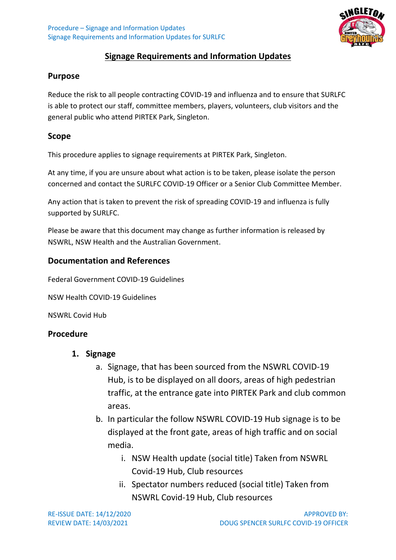

# **Signage Requirements and Information Updates**

#### **Purpose**

Reduce the risk to all people contracting COVID-19 and influenza and to ensure that SURLFC is able to protect our staff, committee members, players, volunteers, club visitors and the general public who attend PIRTEK Park, Singleton.

### **Scope**

This procedure applies to signage requirements at PIRTEK Park, Singleton.

At any time, if you are unsure about what action is to be taken, please isolate the person concerned and contact the SURLFC COVID-19 Officer or a Senior Club Committee Member.

Any action that is taken to prevent the risk of spreading COVID-19 and influenza is fully supported by SURLFC.

Please be aware that this document may change as further information is released by NSWRL, NSW Health and the Australian Government.

### **Documentation and References**

Federal Government COVID-19 Guidelines

NSW Health COVID-19 Guidelines

NSWRL Covid Hub

## **Procedure**

- **1. Signage** 
	- a. Signage, that has been sourced from the NSWRL COVID-19 Hub, is to be displayed on all doors, areas of high pedestrian traffic, at the entrance gate into PIRTEK Park and club common areas.
	- b. In particular the follow NSWRL COVID-19 Hub signage is to be displayed at the front gate, areas of high traffic and on social media.
		- i. NSW Health update (social title) Taken from NSWRL Covid-19 Hub, Club resources
		- ii. Spectator numbers reduced (social title) Taken from NSWRL Covid-19 Hub, Club resources